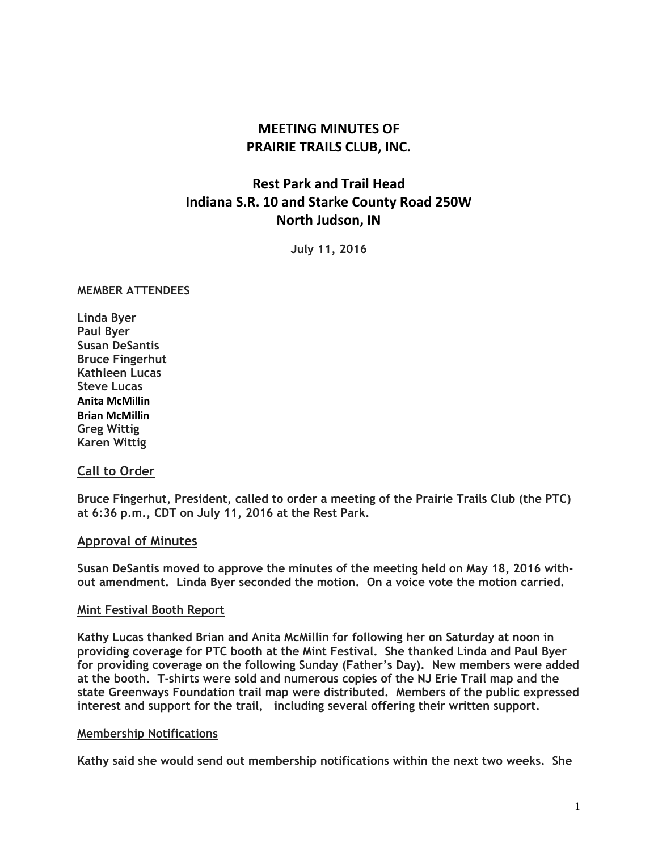## **MEETING MINUTES OF PRAIRIE TRAILS CLUB, INC.**

# **Rest Park and Trail Head Indiana S.R. 10 and Starke County Road 250W North Judson, IN**

**July 11, 2016**

## **MEMBER ATTENDEES**

**Linda Byer Paul Byer Susan DeSantis Bruce Fingerhut Kathleen Lucas Steve Lucas Anita McMillin Brian McMillin Greg Wittig Karen Wittig**

## **Call to Order**

**Bruce Fingerhut, President, called to order a meeting of the Prairie Trails Club (the PTC) at 6:36 p.m., CDT on July 11, 2016 at the Rest Park.**

## **Approval of Minutes**

**Susan DeSantis moved to approve the minutes of the meeting held on May 18, 2016 without amendment. Linda Byer seconded the motion. On a voice vote the motion carried.**

## **Mint Festival Booth Report**

**Kathy Lucas thanked Brian and Anita McMillin for following her on Saturday at noon in providing coverage for PTC booth at the Mint Festival. She thanked Linda and Paul Byer for providing coverage on the following Sunday (Father's Day). New members were added at the booth. T-shirts were sold and numerous copies of the NJ Erie Trail map and the state Greenways Foundation trail map were distributed. Members of the public expressed interest and support for the trail, including several offering their written support.**

## **Membership Notifications**

**Kathy said she would send out membership notifications within the next two weeks. She**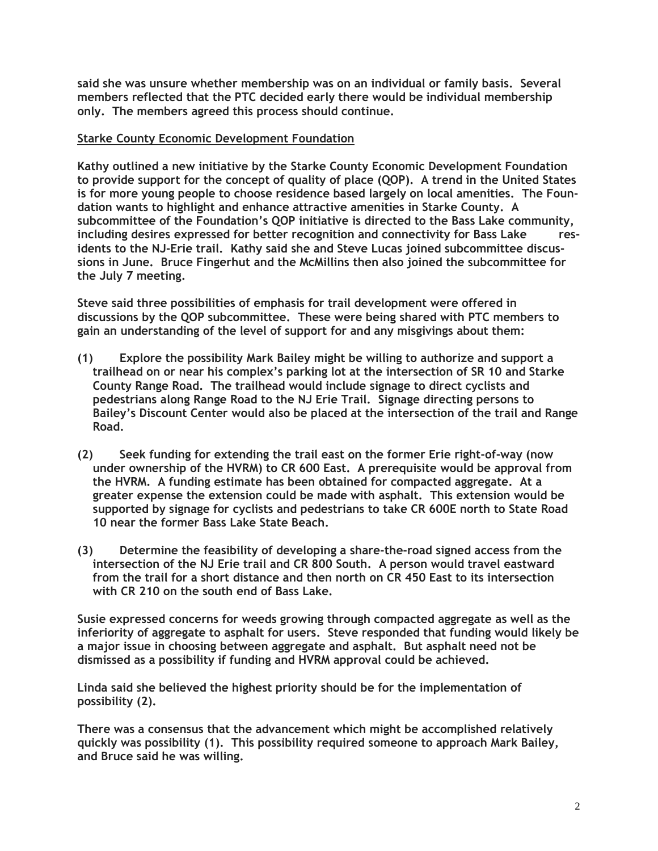**said she was unsure whether membership was on an individual or family basis. Several members reflected that the PTC decided early there would be individual membership only. The members agreed this process should continue.**

## **Starke County Economic Development Foundation**

**Kathy outlined a new initiative by the Starke County Economic Development Foundation to provide support for the concept of quality of place (QOP). A trend in the United States is for more young people to choose residence based largely on local amenities. The Foundation wants to highlight and enhance attractive amenities in Starke County. A subcommittee of the Foundation's QOP initiative is directed to the Bass Lake community, including desires expressed for better recognition and connectivity for Bass Lake residents to the NJ-Erie trail. Kathy said she and Steve Lucas joined subcommittee discussions in June. Bruce Fingerhut and the McMillins then also joined the subcommittee for the July 7 meeting.**

**Steve said three possibilities of emphasis for trail development were offered in discussions by the QOP subcommittee. These were being shared with PTC members to gain an understanding of the level of support for and any misgivings about them:**

- **(1) Explore the possibility Mark Bailey might be willing to authorize and support a trailhead on or near his complex's parking lot at the intersection of SR 10 and Starke County Range Road. The trailhead would include signage to direct cyclists and pedestrians along Range Road to the NJ Erie Trail. Signage directing persons to Bailey's Discount Center would also be placed at the intersection of the trail and Range Road.**
- **(2) Seek funding for extending the trail east on the former Erie right-of-way (now under ownership of the HVRM) to CR 600 East. A prerequisite would be approval from the HVRM. A funding estimate has been obtained for compacted aggregate. At a greater expense the extension could be made with asphalt. This extension would be supported by signage for cyclists and pedestrians to take CR 600E north to State Road 10 near the former Bass Lake State Beach.**
- **(3) Determine the feasibility of developing a share-the-road signed access from the intersection of the NJ Erie trail and CR 800 South. A person would travel eastward from the trail for a short distance and then north on CR 450 East to its intersection with CR 210 on the south end of Bass Lake.**

**Susie expressed concerns for weeds growing through compacted aggregate as well as the inferiority of aggregate to asphalt for users. Steve responded that funding would likely be a major issue in choosing between aggregate and asphalt. But asphalt need not be dismissed as a possibility if funding and HVRM approval could be achieved.**

**Linda said she believed the highest priority should be for the implementation of possibility (2).**

**There was a consensus that the advancement which might be accomplished relatively quickly was possibility (1). This possibility required someone to approach Mark Bailey, and Bruce said he was willing.**